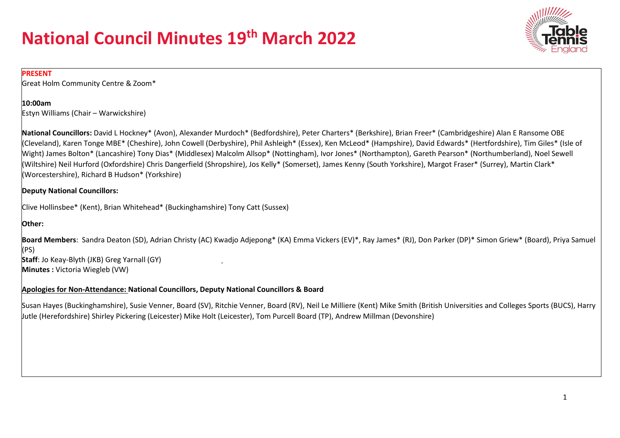

#### **PRESENT**

Great Holm Community Centre & Zoom\*

#### **10:00am**

Estyn Williams (Chair – Warwickshire)

**National Councillors:** David L Hockney\* (Avon), Alexander Murdoch\* (Bedfordshire), Peter Charters\* (Berkshire), Brian Freer\* (Cambridgeshire) Alan E Ransome OBE (Cleveland), Karen Tonge MBE\* (Cheshire), John Cowell (Derbyshire), Phil Ashleigh\* (Essex), Ken McLeod\* (Hampshire), David Edwards\* (Hertfordshire), Tim Giles\* (Isle of Wight) James Bolton\* (Lancashire) Tony Dias\* (Middlesex) Malcolm Allsop\* (Nottingham), Ivor Jones\* (Northampton), Gareth Pearson\* (Northumberland), Noel Sewell (Wiltshire) Neil Hurford (Oxfordshire) Chris Dangerfield (Shropshire), Jos Kelly\* (Somerset), James Kenny (South Yorkshire), Margot Fraser\* (Surrey), Martin Clark\* (Worcestershire), Richard B Hudson\* (Yorkshire)

#### **Deputy National Councillors:**

Clive Hollinsbee\* (Kent), Brian Whitehead\* (Buckinghamshire) Tony Catt (Sussex)

#### **Other:**

**Board Members**: Sandra Deaton (SD), Adrian Christy (AC) Kwadjo Adjepong\* (KA) Emma Vickers (EV)\*, Ray James\* (RJ), Don Parker (DP)\* Simon Griew\* (Board), Priya Samuel (PS)

**Staff**: Jo Keay-Blyth (JKB) Greg Yarnall (GY) **Minutes :** Victoria Wiegleb (VW)

#### **Apologies for Non-Attendance: National Councillors, Deputy National Councillors & Board**

Susan Hayes (Buckinghamshire), Susie Venner, Board (SV), Ritchie Venner, Board (RV), Neil Le Milliere (Kent) Mike Smith (British Universities and Colleges Sports (BUCS), Harry Jutle (Herefordshire) Shirley Pickering (Leicester) Mike Holt (Leicester), Tom Purcell Board (TP), Andrew Millman (Devonshire)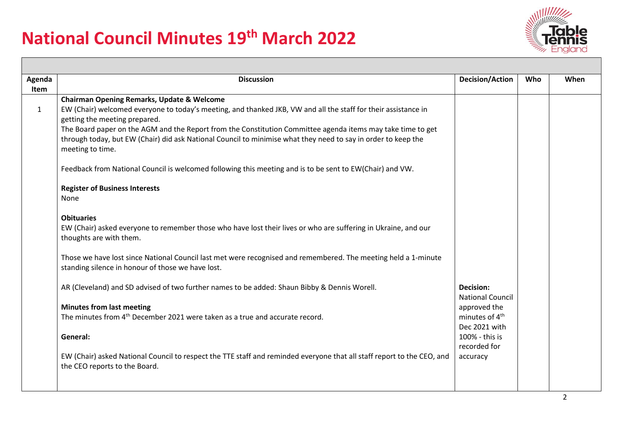

| Agenda<br><b>Discussion</b><br><b>Decision/Action</b><br>When<br>Who |                                                                                                                                           |                                             |  |  |  |  |  |
|----------------------------------------------------------------------|-------------------------------------------------------------------------------------------------------------------------------------------|---------------------------------------------|--|--|--|--|--|
| Item                                                                 |                                                                                                                                           |                                             |  |  |  |  |  |
|                                                                      | <b>Chairman Opening Remarks, Update &amp; Welcome</b>                                                                                     |                                             |  |  |  |  |  |
| $\mathbf{1}$                                                         | EW (Chair) welcomed everyone to today's meeting, and thanked JKB, VW and all the staff for their assistance in                            |                                             |  |  |  |  |  |
|                                                                      | getting the meeting prepared.                                                                                                             |                                             |  |  |  |  |  |
|                                                                      | The Board paper on the AGM and the Report from the Constitution Committee agenda items may take time to get                               |                                             |  |  |  |  |  |
|                                                                      | through today, but EW (Chair) did ask National Council to minimise what they need to say in order to keep the                             |                                             |  |  |  |  |  |
|                                                                      | meeting to time.                                                                                                                          |                                             |  |  |  |  |  |
|                                                                      | Feedback from National Council is welcomed following this meeting and is to be sent to EW(Chair) and VW.                                  |                                             |  |  |  |  |  |
|                                                                      | <b>Register of Business Interests</b>                                                                                                     |                                             |  |  |  |  |  |
|                                                                      | None                                                                                                                                      |                                             |  |  |  |  |  |
|                                                                      | <b>Obituaries</b>                                                                                                                         |                                             |  |  |  |  |  |
|                                                                      | EW (Chair) asked everyone to remember those who have lost their lives or who are suffering in Ukraine, and our<br>thoughts are with them. |                                             |  |  |  |  |  |
|                                                                      | Those we have lost since National Council last met were recognised and remembered. The meeting held a 1-minute                            |                                             |  |  |  |  |  |
|                                                                      | standing silence in honour of those we have lost.                                                                                         |                                             |  |  |  |  |  |
|                                                                      | AR (Cleveland) and SD advised of two further names to be added: Shaun Bibby & Dennis Worell.                                              | <b>Decision:</b>                            |  |  |  |  |  |
|                                                                      |                                                                                                                                           | <b>National Council</b>                     |  |  |  |  |  |
|                                                                      | <b>Minutes from last meeting</b>                                                                                                          | approved the                                |  |  |  |  |  |
|                                                                      | The minutes from 4 <sup>th</sup> December 2021 were taken as a true and accurate record.                                                  | minutes of 4 <sup>th</sup><br>Dec 2021 with |  |  |  |  |  |
|                                                                      | General:                                                                                                                                  | 100% - this is                              |  |  |  |  |  |
|                                                                      |                                                                                                                                           | recorded for                                |  |  |  |  |  |
|                                                                      | EW (Chair) asked National Council to respect the TTE staff and reminded everyone that all staff report to the CEO, and                    | accuracy                                    |  |  |  |  |  |
|                                                                      | the CEO reports to the Board.                                                                                                             |                                             |  |  |  |  |  |
|                                                                      |                                                                                                                                           |                                             |  |  |  |  |  |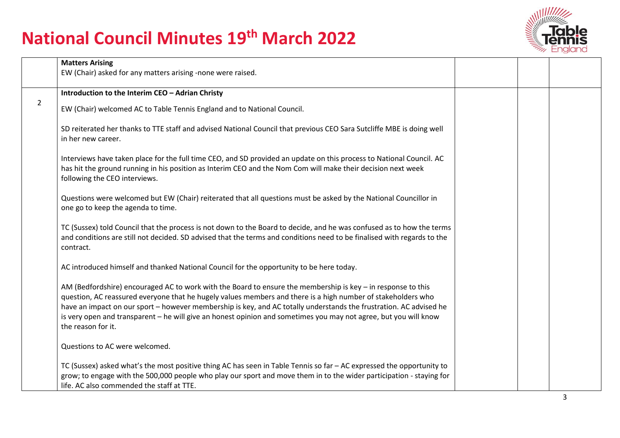

|                | <b>Matters Arising</b>                                                                                                                                                                                                                                                                                                                                                                                                                                                                       |  |   |
|----------------|----------------------------------------------------------------------------------------------------------------------------------------------------------------------------------------------------------------------------------------------------------------------------------------------------------------------------------------------------------------------------------------------------------------------------------------------------------------------------------------------|--|---|
|                | EW (Chair) asked for any matters arising -none were raised.                                                                                                                                                                                                                                                                                                                                                                                                                                  |  |   |
|                | Introduction to the Interim CEO - Adrian Christy                                                                                                                                                                                                                                                                                                                                                                                                                                             |  |   |
| $\overline{2}$ | EW (Chair) welcomed AC to Table Tennis England and to National Council.                                                                                                                                                                                                                                                                                                                                                                                                                      |  |   |
|                | SD reiterated her thanks to TTE staff and advised National Council that previous CEO Sara Sutcliffe MBE is doing well<br>in her new career.                                                                                                                                                                                                                                                                                                                                                  |  |   |
|                | Interviews have taken place for the full time CEO, and SD provided an update on this process to National Council. AC<br>has hit the ground running in his position as Interim CEO and the Nom Com will make their decision next week<br>following the CEO interviews.                                                                                                                                                                                                                        |  |   |
|                | Questions were welcomed but EW (Chair) reiterated that all questions must be asked by the National Councillor in<br>one go to keep the agenda to time.                                                                                                                                                                                                                                                                                                                                       |  |   |
|                | TC (Sussex) told Council that the process is not down to the Board to decide, and he was confused as to how the terms<br>and conditions are still not decided. SD advised that the terms and conditions need to be finalised with regards to the<br>contract.                                                                                                                                                                                                                                |  |   |
|                | AC introduced himself and thanked National Council for the opportunity to be here today.                                                                                                                                                                                                                                                                                                                                                                                                     |  |   |
|                | AM (Bedfordshire) encouraged AC to work with the Board to ensure the membership is key - in response to this<br>question, AC reassured everyone that he hugely values members and there is a high number of stakeholders who<br>have an impact on our sport – however membership is key, and AC totally understands the frustration. AC advised he<br>is very open and transparent - he will give an honest opinion and sometimes you may not agree, but you will know<br>the reason for it. |  |   |
|                | Questions to AC were welcomed.                                                                                                                                                                                                                                                                                                                                                                                                                                                               |  |   |
|                | TC (Sussex) asked what's the most positive thing AC has seen in Table Tennis so far - AC expressed the opportunity to<br>grow; to engage with the 500,000 people who play our sport and move them in to the wider participation - staying for<br>life. AC also commended the staff at TTE.                                                                                                                                                                                                   |  |   |
|                |                                                                                                                                                                                                                                                                                                                                                                                                                                                                                              |  | 3 |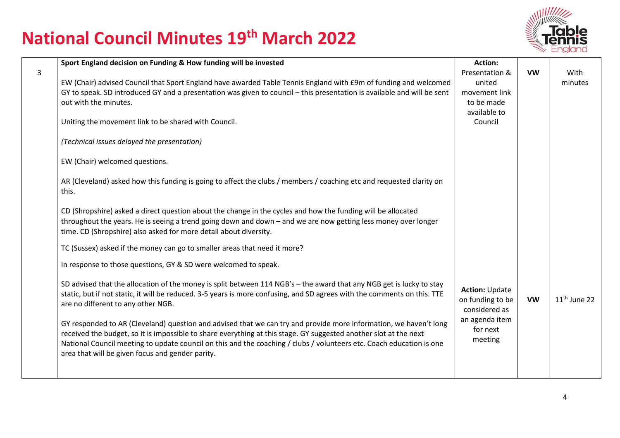

|   | Sport England decision on Funding & How funding will be invested                                                         | <b>Action:</b>        |           |                |
|---|--------------------------------------------------------------------------------------------------------------------------|-----------------------|-----------|----------------|
| 3 |                                                                                                                          | Presentation &        | <b>VW</b> | With           |
|   | EW (Chair) advised Council that Sport England have awarded Table Tennis England with £9m of funding and welcomed         | united                |           | minutes        |
|   | GY to speak. SD introduced GY and a presentation was given to council - this presentation is available and will be sent  | movement link         |           |                |
|   | out with the minutes.                                                                                                    | to be made            |           |                |
|   |                                                                                                                          | available to          |           |                |
|   | Uniting the movement link to be shared with Council.                                                                     | Council               |           |                |
|   | (Technical issues delayed the presentation)                                                                              |                       |           |                |
|   |                                                                                                                          |                       |           |                |
|   | EW (Chair) welcomed questions.                                                                                           |                       |           |                |
|   |                                                                                                                          |                       |           |                |
|   | AR (Cleveland) asked how this funding is going to affect the clubs / members / coaching etc and requested clarity on     |                       |           |                |
|   | this.                                                                                                                    |                       |           |                |
|   | CD (Shropshire) asked a direct question about the change in the cycles and how the funding will be allocated             |                       |           |                |
|   | throughout the years. He is seeing a trend going down and down – and we are now getting less money over longer           |                       |           |                |
|   | time. CD (Shropshire) also asked for more detail about diversity.                                                        |                       |           |                |
|   |                                                                                                                          |                       |           |                |
|   | TC (Sussex) asked if the money can go to smaller areas that need it more?                                                |                       |           |                |
|   | In response to those questions, GY & SD were welcomed to speak.                                                          |                       |           |                |
|   | SD advised that the allocation of the money is split between 114 NGB's - the award that any NGB get is lucky to stay     |                       |           |                |
|   | static, but if not static, it will be reduced. 3-5 years is more confusing, and SD agrees with the comments on this. TTE | <b>Action: Update</b> |           |                |
|   | are no different to any other NGB.                                                                                       | on funding to be      | <b>VW</b> | $11th$ June 22 |
|   |                                                                                                                          | considered as         |           |                |
|   | GY responded to AR (Cleveland) question and advised that we can try and provide more information, we haven't long        | an agenda item        |           |                |
|   | received the budget, so it is impossible to share everything at this stage. GY suggested another slot at the next        | for next<br>meeting   |           |                |
|   | National Council meeting to update council on this and the coaching / clubs / volunteers etc. Coach education is one     |                       |           |                |
|   | area that will be given focus and gender parity.                                                                         |                       |           |                |
|   |                                                                                                                          |                       |           |                |
|   |                                                                                                                          |                       |           |                |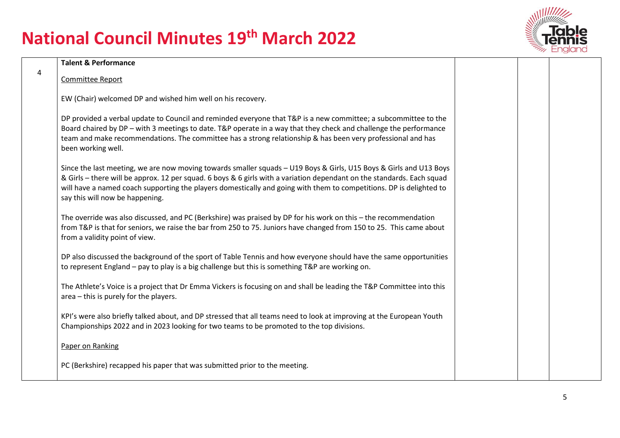

|                | <b>Talent &amp; Performance</b>                                                                                                                                                                                                                                                                                                                                                                        |  |  |
|----------------|--------------------------------------------------------------------------------------------------------------------------------------------------------------------------------------------------------------------------------------------------------------------------------------------------------------------------------------------------------------------------------------------------------|--|--|
| $\overline{4}$ | Committee Report                                                                                                                                                                                                                                                                                                                                                                                       |  |  |
|                | EW (Chair) welcomed DP and wished him well on his recovery.                                                                                                                                                                                                                                                                                                                                            |  |  |
|                | DP provided a verbal update to Council and reminded everyone that T&P is a new committee; a subcommittee to the<br>Board chaired by DP - with 3 meetings to date. T&P operate in a way that they check and challenge the performance<br>team and make recommendations. The committee has a strong relationship & has been very professional and has<br>been working well.                              |  |  |
|                | Since the last meeting, we are now moving towards smaller squads - U19 Boys & Girls, U15 Boys & Girls and U13 Boys<br>& Girls - there will be approx. 12 per squad. 6 boys & 6 girls with a variation dependant on the standards. Each squad<br>will have a named coach supporting the players domestically and going with them to competitions. DP is delighted to<br>say this will now be happening. |  |  |
|                | The override was also discussed, and PC (Berkshire) was praised by DP for his work on this - the recommendation<br>from T&P is that for seniors, we raise the bar from 250 to 75. Juniors have changed from 150 to 25. This came about<br>from a validity point of view.                                                                                                                               |  |  |
|                | DP also discussed the background of the sport of Table Tennis and how everyone should have the same opportunities<br>to represent England - pay to play is a big challenge but this is something T&P are working on.                                                                                                                                                                                   |  |  |
|                | The Athlete's Voice is a project that Dr Emma Vickers is focusing on and shall be leading the T&P Committee into this<br>area - this is purely for the players.                                                                                                                                                                                                                                        |  |  |
|                | KPI's were also briefly talked about, and DP stressed that all teams need to look at improving at the European Youth<br>Championships 2022 and in 2023 looking for two teams to be promoted to the top divisions.                                                                                                                                                                                      |  |  |
|                | Paper on Ranking                                                                                                                                                                                                                                                                                                                                                                                       |  |  |
|                | PC (Berkshire) recapped his paper that was submitted prior to the meeting.                                                                                                                                                                                                                                                                                                                             |  |  |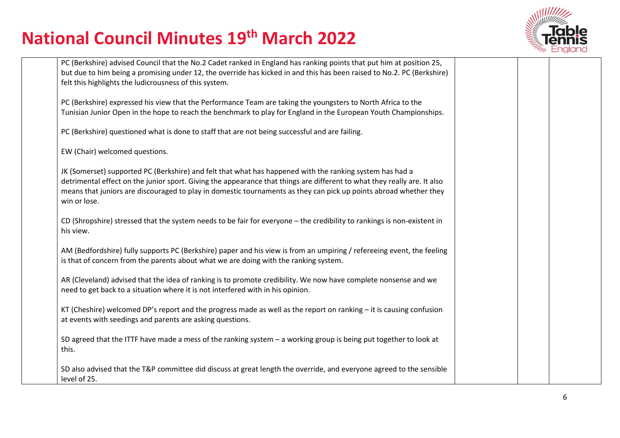

| PC (Berkshire) advised Council that the No.2 Cadet ranked in England has ranking points that put him at position 25,<br>but due to him being a promising under 12, the override has kicked in and this has been raised to No.2. PC (Berkshire)<br>felt this highlights the ludicrousness of this system.                                                                  |  |  |
|---------------------------------------------------------------------------------------------------------------------------------------------------------------------------------------------------------------------------------------------------------------------------------------------------------------------------------------------------------------------------|--|--|
| PC (Berkshire) expressed his view that the Performance Team are taking the youngsters to North Africa to the<br>Tunisian Junior Open in the hope to reach the benchmark to play for England in the European Youth Championships.                                                                                                                                          |  |  |
| PC (Berkshire) questioned what is done to staff that are not being successful and are failing.                                                                                                                                                                                                                                                                            |  |  |
| EW (Chair) welcomed questions.                                                                                                                                                                                                                                                                                                                                            |  |  |
| JK (Somerset) supported PC (Berkshire) and felt that what has happened with the ranking system has had a<br>detrimental effect on the junior sport. Giving the appearance that things are different to what they really are. It also<br>means that juniors are discouraged to play in domestic tournaments as they can pick up points abroad whether they<br>win or lose. |  |  |
| CD (Shropshire) stressed that the system needs to be fair for everyone - the credibility to rankings is non-existent in<br>his view.                                                                                                                                                                                                                                      |  |  |
| AM (Bedfordshire) fully supports PC (Berkshire) paper and his view is from an umpiring / refereeing event, the feeling<br>is that of concern from the parents about what we are doing with the ranking system.                                                                                                                                                            |  |  |
| AR (Cleveland) advised that the idea of ranking is to promote credibility. We now have complete nonsense and we<br>need to get back to a situation where it is not interfered with in his opinion.                                                                                                                                                                        |  |  |
| KT (Cheshire) welcomed DP's report and the progress made as well as the report on ranking $-$ it is causing confusion<br>at events with seedings and parents are asking questions.                                                                                                                                                                                        |  |  |
| SD agreed that the ITTF have made a mess of the ranking system - a working group is being put together to look at<br>this.                                                                                                                                                                                                                                                |  |  |
| SD also advised that the T&P committee did discuss at great length the override, and everyone agreed to the sensible<br>level of 25.                                                                                                                                                                                                                                      |  |  |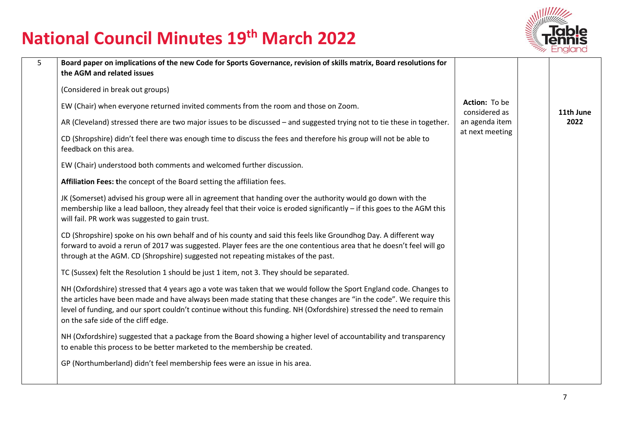

| $\overline{5}$ | Board paper on implications of the new Code for Sports Governance, revision of skills matrix, Board resolutions for                                                                                                                                                                                                                                                                                       |                                |           |
|----------------|-----------------------------------------------------------------------------------------------------------------------------------------------------------------------------------------------------------------------------------------------------------------------------------------------------------------------------------------------------------------------------------------------------------|--------------------------------|-----------|
|                | the AGM and related issues                                                                                                                                                                                                                                                                                                                                                                                |                                |           |
|                | (Considered in break out groups)                                                                                                                                                                                                                                                                                                                                                                          |                                |           |
|                | EW (Chair) when everyone returned invited comments from the room and those on Zoom.                                                                                                                                                                                                                                                                                                                       | Action: To be<br>considered as | 11th June |
|                | AR (Cleveland) stressed there are two major issues to be discussed – and suggested trying not to tie these in together.                                                                                                                                                                                                                                                                                   | an agenda item                 | 2022      |
|                | CD (Shropshire) didn't feel there was enough time to discuss the fees and therefore his group will not be able to<br>feedback on this area.                                                                                                                                                                                                                                                               | at next meeting                |           |
|                | EW (Chair) understood both comments and welcomed further discussion.                                                                                                                                                                                                                                                                                                                                      |                                |           |
|                | Affiliation Fees: the concept of the Board setting the affiliation fees.                                                                                                                                                                                                                                                                                                                                  |                                |           |
|                | JK (Somerset) advised his group were all in agreement that handing over the authority would go down with the<br>membership like a lead balloon, they already feel that their voice is eroded significantly - if this goes to the AGM this<br>will fail. PR work was suggested to gain trust.                                                                                                              |                                |           |
|                | CD (Shropshire) spoke on his own behalf and of his county and said this feels like Groundhog Day. A different way<br>forward to avoid a rerun of 2017 was suggested. Player fees are the one contentious area that he doesn't feel will go<br>through at the AGM. CD (Shropshire) suggested not repeating mistakes of the past.                                                                           |                                |           |
|                | TC (Sussex) felt the Resolution 1 should be just 1 item, not 3. They should be separated.                                                                                                                                                                                                                                                                                                                 |                                |           |
|                | NH (Oxfordshire) stressed that 4 years ago a vote was taken that we would follow the Sport England code. Changes to<br>the articles have been made and have always been made stating that these changes are "in the code". We require this<br>level of funding, and our sport couldn't continue without this funding. NH (Oxfordshire) stressed the need to remain<br>on the safe side of the cliff edge. |                                |           |
|                | NH (Oxfordshire) suggested that a package from the Board showing a higher level of accountability and transparency<br>to enable this process to be better marketed to the membership be created.                                                                                                                                                                                                          |                                |           |
|                | GP (Northumberland) didn't feel membership fees were an issue in his area.                                                                                                                                                                                                                                                                                                                                |                                |           |
|                |                                                                                                                                                                                                                                                                                                                                                                                                           |                                |           |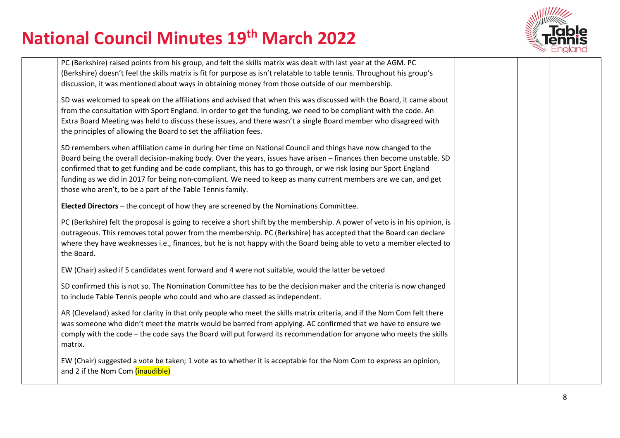

| PC (Berkshire) raised points from his group, and felt the skills matrix was dealt with last year at the AGM. PC                                                              |  |  |
|------------------------------------------------------------------------------------------------------------------------------------------------------------------------------|--|--|
| (Berkshire) doesn't feel the skills matrix is fit for purpose as isn't relatable to table tennis. Throughout his group's                                                     |  |  |
| discussion, it was mentioned about ways in obtaining money from those outside of our membership.                                                                             |  |  |
| SD was welcomed to speak on the affiliations and advised that when this was discussed with the Board, it came about                                                          |  |  |
| from the consultation with Sport England. In order to get the funding, we need to be compliant with the code. An                                                             |  |  |
| Extra Board Meeting was held to discuss these issues, and there wasn't a single Board member who disagreed with                                                              |  |  |
| the principles of allowing the Board to set the affiliation fees.                                                                                                            |  |  |
| SD remembers when affiliation came in during her time on National Council and things have now changed to the                                                                 |  |  |
| Board being the overall decision-making body. Over the years, issues have arisen - finances then become unstable. SD                                                         |  |  |
| confirmed that to get funding and be code compliant, this has to go through, or we risk losing our Sport England                                                             |  |  |
| funding as we did in 2017 for being non-compliant. We need to keep as many current members are we can, and get<br>those who aren't, to be a part of the Table Tennis family. |  |  |
|                                                                                                                                                                              |  |  |
| Elected Directors - the concept of how they are screened by the Nominations Committee.                                                                                       |  |  |
| PC (Berkshire) felt the proposal is going to receive a short shift by the membership. A power of veto is in his opinion, is                                                  |  |  |
| outrageous. This removes total power from the membership. PC (Berkshire) has accepted that the Board can declare                                                             |  |  |
| where they have weaknesses i.e., finances, but he is not happy with the Board being able to veto a member elected to                                                         |  |  |
| the Board.                                                                                                                                                                   |  |  |
| EW (Chair) asked if 5 candidates went forward and 4 were not suitable, would the latter be vetoed                                                                            |  |  |
| SD confirmed this is not so. The Nomination Committee has to be the decision maker and the criteria is now changed                                                           |  |  |
| to include Table Tennis people who could and who are classed as independent.                                                                                                 |  |  |
| AR (Cleveland) asked for clarity in that only people who meet the skills matrix criteria, and if the Nom Com felt there                                                      |  |  |
| was someone who didn't meet the matrix would be barred from applying. AC confirmed that we have to ensure we                                                                 |  |  |
| comply with the code - the code says the Board will put forward its recommendation for anyone who meets the skills                                                           |  |  |
| matrix.                                                                                                                                                                      |  |  |
| EW (Chair) suggested a vote be taken; 1 vote as to whether it is acceptable for the Nom Com to express an opinion,                                                           |  |  |
| and 2 if the Nom Com (inaudible)                                                                                                                                             |  |  |
|                                                                                                                                                                              |  |  |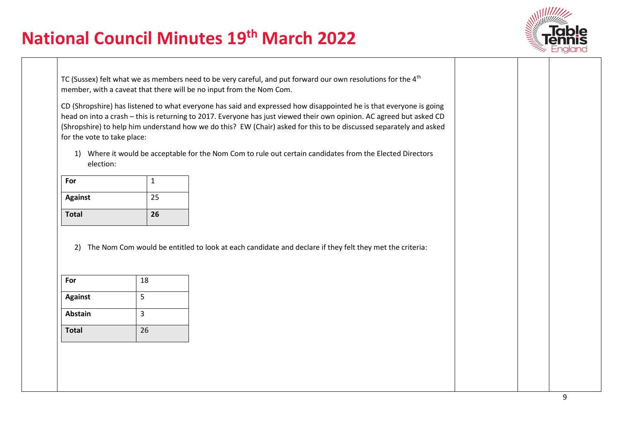

TC (Sussex) felt what we as members need to be very careful, and put forward our own resolutions for the 4<sup>th</sup> member, with a caveat that there will be no input from the Nom Com.

CD (Shropshire) has listened to what everyone has said and expressed how disappointed he is that everyone is going head on into a crash – this is returning to 2017. Everyone has just viewed their own opinion. AC agreed but asked CD (Shropshire) to help him understand how we do this? EW (Chair) asked for this to be discussed separately and asked for the vote to take place:

1) Where it would be acceptable for the Nom Com to rule out certain candidates from the Elected Directors election:

| For            |    |
|----------------|----|
| <b>Against</b> | 25 |
| <b>Total</b>   | 26 |

2) The Nom Com would be entitled to look at each candidate and declare if they felt they met the criteria:

| For            | 18 |
|----------------|----|
| <b>Against</b> | 5  |
| <b>Abstain</b> | 3  |
| <b>Total</b>   | 26 |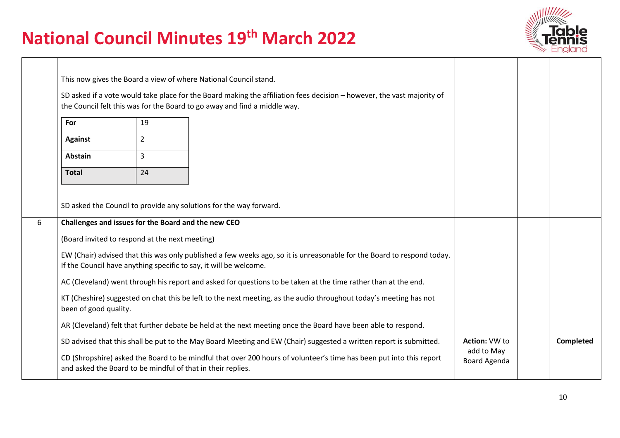

|   |                                                                                                                                            |                                                | This now gives the Board a view of where National Council stand.                                                                                                                                    |                            |                  |
|---|--------------------------------------------------------------------------------------------------------------------------------------------|------------------------------------------------|-----------------------------------------------------------------------------------------------------------------------------------------------------------------------------------------------------|----------------------------|------------------|
|   |                                                                                                                                            |                                                | SD asked if a vote would take place for the Board making the affiliation fees decision - however, the vast majority of<br>the Council felt this was for the Board to go away and find a middle way. |                            |                  |
|   | For                                                                                                                                        | 19                                             |                                                                                                                                                                                                     |                            |                  |
|   | <b>Against</b>                                                                                                                             | $\overline{2}$                                 |                                                                                                                                                                                                     |                            |                  |
|   | $\overline{3}$<br><b>Abstain</b>                                                                                                           |                                                |                                                                                                                                                                                                     |                            |                  |
|   | 24<br><b>Total</b>                                                                                                                         |                                                |                                                                                                                                                                                                     |                            |                  |
|   |                                                                                                                                            |                                                |                                                                                                                                                                                                     |                            |                  |
|   |                                                                                                                                            |                                                | SD asked the Council to provide any solutions for the way forward.                                                                                                                                  |                            |                  |
| 6 |                                                                                                                                            |                                                | Challenges and issues for the Board and the new CEO                                                                                                                                                 |                            |                  |
|   |                                                                                                                                            | (Board invited to respond at the next meeting) |                                                                                                                                                                                                     |                            |                  |
|   |                                                                                                                                            |                                                | EW (Chair) advised that this was only published a few weeks ago, so it is unreasonable for the Board to respond today.<br>If the Council have anything specific to say, it will be welcome.         |                            |                  |
|   |                                                                                                                                            |                                                | AC (Cleveland) went through his report and asked for questions to be taken at the time rather than at the end.                                                                                      |                            |                  |
|   | KT (Cheshire) suggested on chat this be left to the next meeting, as the audio throughout today's meeting has not<br>been of good quality. |                                                |                                                                                                                                                                                                     |                            |                  |
|   | AR (Cleveland) felt that further debate be held at the next meeting once the Board have been able to respond.                              |                                                |                                                                                                                                                                                                     |                            |                  |
|   |                                                                                                                                            |                                                | SD advised that this shall be put to the May Board Meeting and EW (Chair) suggested a written report is submitted.                                                                                  | <b>Action: VW to</b>       | <b>Completed</b> |
|   |                                                                                                                                            |                                                | CD (Shropshire) asked the Board to be mindful that over 200 hours of volunteer's time has been put into this report<br>and asked the Board to be mindful of that in their replies.                  | add to May<br>Board Agenda |                  |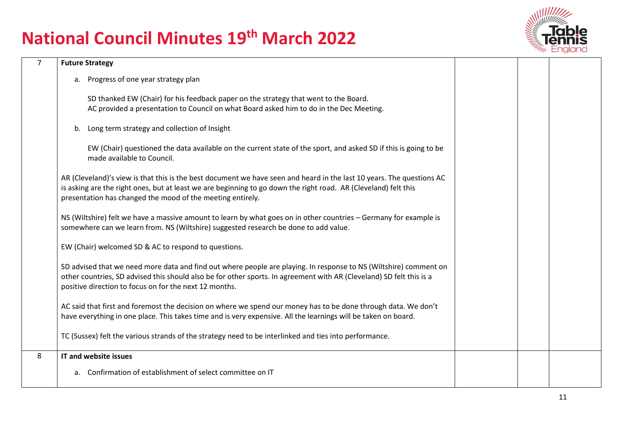

| $\overline{7}$ | <b>Future Strategy</b>                                                                                                                                                                                                                                                                                 |  |  |
|----------------|--------------------------------------------------------------------------------------------------------------------------------------------------------------------------------------------------------------------------------------------------------------------------------------------------------|--|--|
|                | a. Progress of one year strategy plan                                                                                                                                                                                                                                                                  |  |  |
|                | SD thanked EW (Chair) for his feedback paper on the strategy that went to the Board.<br>AC provided a presentation to Council on what Board asked him to do in the Dec Meeting.                                                                                                                        |  |  |
|                | Long term strategy and collection of Insight<br>b.                                                                                                                                                                                                                                                     |  |  |
|                | EW (Chair) questioned the data available on the current state of the sport, and asked SD if this is going to be<br>made available to Council.                                                                                                                                                          |  |  |
|                | AR (Cleveland)'s view is that this is the best document we have seen and heard in the last 10 years. The questions AC<br>is asking are the right ones, but at least we are beginning to go down the right road. AR (Cleveland) felt this<br>presentation has changed the mood of the meeting entirely. |  |  |
|                | NS (Wiltshire) felt we have a massive amount to learn by what goes on in other countries - Germany for example is<br>somewhere can we learn from. NS (Wiltshire) suggested research be done to add value.                                                                                              |  |  |
|                | EW (Chair) welcomed SD & AC to respond to questions.                                                                                                                                                                                                                                                   |  |  |
|                | SD advised that we need more data and find out where people are playing. In response to NS (Wiltshire) comment on<br>other countries, SD advised this should also be for other sports. In agreement with AR (Cleveland) SD felt this is a<br>positive direction to focus on for the next 12 months.    |  |  |
|                | AC said that first and foremost the decision on where we spend our money has to be done through data. We don't<br>have everything in one place. This takes time and is very expensive. All the learnings will be taken on board.                                                                       |  |  |
|                | TC (Sussex) felt the various strands of the strategy need to be interlinked and ties into performance.                                                                                                                                                                                                 |  |  |
| 8              | IT and website issues                                                                                                                                                                                                                                                                                  |  |  |
|                | Confirmation of establishment of select committee on IT<br>a.                                                                                                                                                                                                                                          |  |  |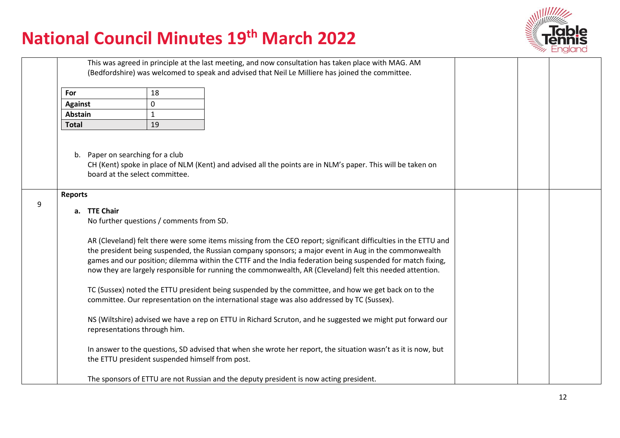

|   |                                                                                                                                                                                                     |                                                                                                                                                                                                                                                                                                                                                                                                                                                     | This was agreed in principle at the last meeting, and now consultation has taken place with MAG. AM<br>(Bedfordshire) was welcomed to speak and advised that Neil Le Milliere has joined the committee. |                                                                                                             |  |  |
|---|-----------------------------------------------------------------------------------------------------------------------------------------------------------------------------------------------------|-----------------------------------------------------------------------------------------------------------------------------------------------------------------------------------------------------------------------------------------------------------------------------------------------------------------------------------------------------------------------------------------------------------------------------------------------------|---------------------------------------------------------------------------------------------------------------------------------------------------------------------------------------------------------|-------------------------------------------------------------------------------------------------------------|--|--|
|   | For                                                                                                                                                                                                 | 18                                                                                                                                                                                                                                                                                                                                                                                                                                                  |                                                                                                                                                                                                         |                                                                                                             |  |  |
|   | <b>Against</b>                                                                                                                                                                                      | 0                                                                                                                                                                                                                                                                                                                                                                                                                                                   |                                                                                                                                                                                                         |                                                                                                             |  |  |
|   | Abstain                                                                                                                                                                                             | $\mathbf{1}$                                                                                                                                                                                                                                                                                                                                                                                                                                        |                                                                                                                                                                                                         |                                                                                                             |  |  |
|   | <b>Total</b>                                                                                                                                                                                        | 19                                                                                                                                                                                                                                                                                                                                                                                                                                                  |                                                                                                                                                                                                         |                                                                                                             |  |  |
|   | b.<br><b>Reports</b>                                                                                                                                                                                | Paper on searching for a club<br>board at the select committee.                                                                                                                                                                                                                                                                                                                                                                                     |                                                                                                                                                                                                         | CH (Kent) spoke in place of NLM (Kent) and advised all the points are in NLM's paper. This will be taken on |  |  |
| 9 |                                                                                                                                                                                                     |                                                                                                                                                                                                                                                                                                                                                                                                                                                     |                                                                                                                                                                                                         |                                                                                                             |  |  |
|   | a. TTE Chair                                                                                                                                                                                        | No further questions / comments from SD.                                                                                                                                                                                                                                                                                                                                                                                                            |                                                                                                                                                                                                         |                                                                                                             |  |  |
|   |                                                                                                                                                                                                     | AR (Cleveland) felt there were some items missing from the CEO report; significant difficulties in the ETTU and<br>the president being suspended, the Russian company sponsors; a major event in Aug in the commonwealth<br>games and our position; dilemma within the CTTF and the India federation being suspended for match fixing,<br>now they are largely responsible for running the commonwealth, AR (Cleveland) felt this needed attention. |                                                                                                                                                                                                         |                                                                                                             |  |  |
|   | TC (Sussex) noted the ETTU president being suspended by the committee, and how we get back on to the<br>committee. Our representation on the international stage was also addressed by TC (Sussex). |                                                                                                                                                                                                                                                                                                                                                                                                                                                     |                                                                                                                                                                                                         |                                                                                                             |  |  |
|   |                                                                                                                                                                                                     | NS (Wiltshire) advised we have a rep on ETTU in Richard Scruton, and he suggested we might put forward our<br>representations through him.                                                                                                                                                                                                                                                                                                          |                                                                                                                                                                                                         |                                                                                                             |  |  |
|   |                                                                                                                                                                                                     | In answer to the questions, SD advised that when she wrote her report, the situation wasn't as it is now, but<br>the ETTU president suspended himself from post.                                                                                                                                                                                                                                                                                    |                                                                                                                                                                                                         |                                                                                                             |  |  |
|   |                                                                                                                                                                                                     |                                                                                                                                                                                                                                                                                                                                                                                                                                                     | The sponsors of ETTU are not Russian and the deputy president is now acting president.                                                                                                                  |                                                                                                             |  |  |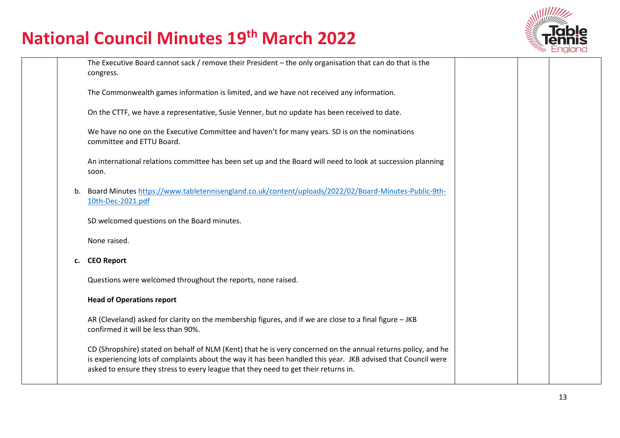

|    | The Executive Board cannot sack / remove their President - the only organisation that can do that is the<br>congress.                                                                                                                                                                                                 |  |  |
|----|-----------------------------------------------------------------------------------------------------------------------------------------------------------------------------------------------------------------------------------------------------------------------------------------------------------------------|--|--|
|    | The Commonwealth games information is limited, and we have not received any information.                                                                                                                                                                                                                              |  |  |
|    | On the CTTF, we have a representative, Susie Venner, but no update has been received to date.                                                                                                                                                                                                                         |  |  |
|    | We have no one on the Executive Committee and haven't for many years. SD is on the nominations<br>committee and ETTU Board.                                                                                                                                                                                           |  |  |
|    | An international relations committee has been set up and the Board will need to look at succession planning<br>soon.                                                                                                                                                                                                  |  |  |
| b. | Board Minutes https://www.tabletennisengland.co.uk/content/uploads/2022/02/Board-Minutes-Public-9th-<br>10th-Dec-2021.pdf                                                                                                                                                                                             |  |  |
|    | SD welcomed questions on the Board minutes.                                                                                                                                                                                                                                                                           |  |  |
|    | None raised.                                                                                                                                                                                                                                                                                                          |  |  |
| c. | <b>CEO Report</b>                                                                                                                                                                                                                                                                                                     |  |  |
|    | Questions were welcomed throughout the reports, none raised.                                                                                                                                                                                                                                                          |  |  |
|    | <b>Head of Operations report</b>                                                                                                                                                                                                                                                                                      |  |  |
|    | AR (Cleveland) asked for clarity on the membership figures, and if we are close to a final figure – JKB<br>confirmed it will be less than 90%.                                                                                                                                                                        |  |  |
|    | CD (Shropshire) stated on behalf of NLM (Kent) that he is very concerned on the annual returns policy, and he<br>is experiencing lots of complaints about the way it has been handled this year. JKB advised that Council were<br>asked to ensure they stress to every league that they need to get their returns in. |  |  |
|    |                                                                                                                                                                                                                                                                                                                       |  |  |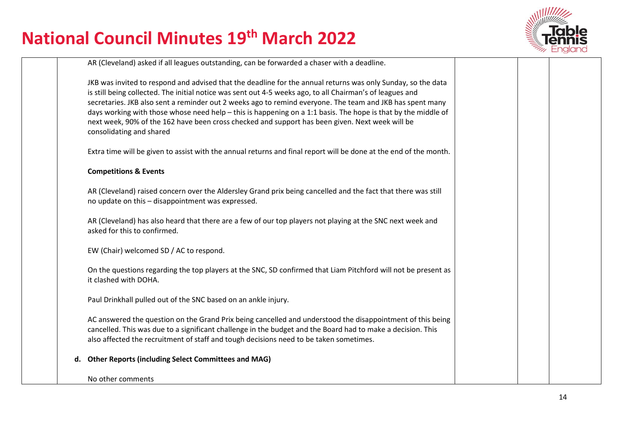

|    | AR (Cleveland) asked if all leagues outstanding, can be forwarded a chaser with a deadline.                                                                                                                                                                                                                                                                                                                                                                                                                                                                                            |  |  |
|----|----------------------------------------------------------------------------------------------------------------------------------------------------------------------------------------------------------------------------------------------------------------------------------------------------------------------------------------------------------------------------------------------------------------------------------------------------------------------------------------------------------------------------------------------------------------------------------------|--|--|
|    | JKB was invited to respond and advised that the deadline for the annual returns was only Sunday, so the data<br>is still being collected. The initial notice was sent out 4-5 weeks ago, to all Chairman's of leagues and<br>secretaries. JKB also sent a reminder out 2 weeks ago to remind everyone. The team and JKB has spent many<br>days working with those whose need help - this is happening on a 1:1 basis. The hope is that by the middle of<br>next week, 90% of the 162 have been cross checked and support has been given. Next week will be<br>consolidating and shared |  |  |
|    | Extra time will be given to assist with the annual returns and final report will be done at the end of the month.                                                                                                                                                                                                                                                                                                                                                                                                                                                                      |  |  |
|    | <b>Competitions &amp; Events</b>                                                                                                                                                                                                                                                                                                                                                                                                                                                                                                                                                       |  |  |
|    | AR (Cleveland) raised concern over the Aldersley Grand prix being cancelled and the fact that there was still<br>no update on this - disappointment was expressed.                                                                                                                                                                                                                                                                                                                                                                                                                     |  |  |
|    | AR (Cleveland) has also heard that there are a few of our top players not playing at the SNC next week and<br>asked for this to confirmed.                                                                                                                                                                                                                                                                                                                                                                                                                                             |  |  |
|    | EW (Chair) welcomed SD / AC to respond.                                                                                                                                                                                                                                                                                                                                                                                                                                                                                                                                                |  |  |
|    | On the questions regarding the top players at the SNC, SD confirmed that Liam Pitchford will not be present as<br>it clashed with DOHA.                                                                                                                                                                                                                                                                                                                                                                                                                                                |  |  |
|    | Paul Drinkhall pulled out of the SNC based on an ankle injury.                                                                                                                                                                                                                                                                                                                                                                                                                                                                                                                         |  |  |
|    | AC answered the question on the Grand Prix being cancelled and understood the disappointment of this being<br>cancelled. This was due to a significant challenge in the budget and the Board had to make a decision. This<br>also affected the recruitment of staff and tough decisions need to be taken sometimes.                                                                                                                                                                                                                                                                    |  |  |
| d. | <b>Other Reports (including Select Committees and MAG)</b>                                                                                                                                                                                                                                                                                                                                                                                                                                                                                                                             |  |  |
|    | No other comments                                                                                                                                                                                                                                                                                                                                                                                                                                                                                                                                                                      |  |  |